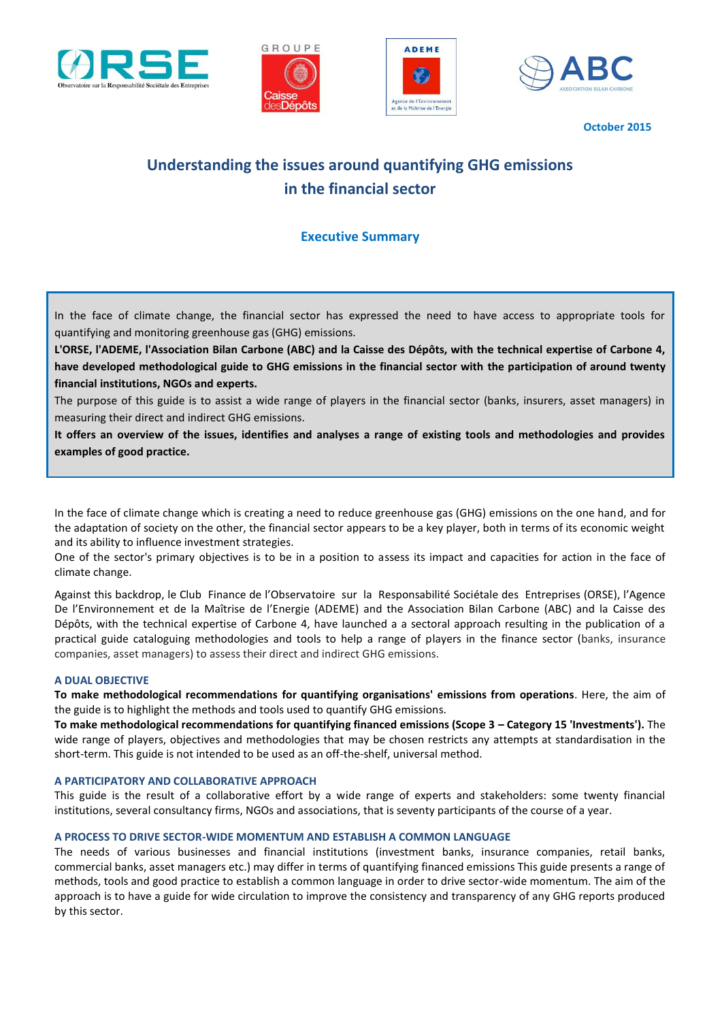







**October 2015**

# **Understanding the issues around quantifying GHG emissions in the financial sector**

# **Executive Summary**

In the face of climate change, the financial sector has expressed the need to have access to appropriate tools for quantifying and monitoring greenhouse gas (GHG) emissions.

**L'ORSE, l'ADEME, l'Association Bilan Carbone (ABC) and la Caisse des Dépôts, with the technical expertise of Carbone 4, have developed methodological guide to GHG emissions in the financial sector with the participation of around twenty financial institutions, NGOs and experts.** 

The purpose of this guide is to assist a wide range of players in the financial sector (banks, insurers, asset managers) in measuring their direct and indirect GHG emissions.

**It offers an overview of the issues, identifies and analyses a range of existing tools and methodologies and provides examples of good practice.** 

In the face of climate change which is creating a need to reduce greenhouse gas (GHG) emissions on the one hand, and for the adaptation of society on the other, the financial sector appears to be a key player, both in terms of its economic weight and its ability to influence investment strategies.

One of the sector's primary objectives is to be in a position to assess its impact and capacities for action in the face of climate change.

Against this backdrop, le Club Finance de l'Observatoire sur la Responsabilité Sociétale des Entreprises (ORSE), l'Agence De l'Environnement et de la Maîtrise de l'Energie (ADEME) and the Association Bilan Carbone (ABC) and la Caisse des Dépôts, with the technical expertise of Carbone 4, have launched a a sectoral approach resulting in the publication of a practical guide cataloguing methodologies and tools to help a range of players in the finance sector (banks, insurance companies, asset managers) to assess their direct and indirect GHG emissions.

#### **A DUAL OBJECTIVE**

**To make methodological recommendations for quantifying organisations' emissions from operations**. Here, the aim of the guide is to highlight the methods and tools used to quantify GHG emissions.

**To make methodological recommendations for quantifying financed emissions (Scope 3 – Category 15 'Investments').** The wide range of players, objectives and methodologies that may be chosen restricts any attempts at standardisation in the short-term. This guide is not intended to be used as an off-the-shelf, universal method.

#### **A PARTICIPATORY AND COLLABORATIVE APPROACH**

This guide is the result of a collaborative effort by a wide range of experts and stakeholders: some twenty financial institutions, several consultancy firms, NGOs and associations, that is seventy participants of the course of a year.

# **A PROCESS TO DRIVE SECTOR-WIDE MOMENTUM AND ESTABLISH A COMMON LANGUAGE**

The needs of various businesses and financial institutions (investment banks, insurance companies, retail banks, commercial banks, asset managers etc.) may differ in terms of quantifying financed emissions This guide presents a range of methods, tools and good practice to establish a common language in order to drive sector-wide momentum. The aim of the approach is to have a guide for wide circulation to improve the consistency and transparency of any GHG reports produced by this sector.